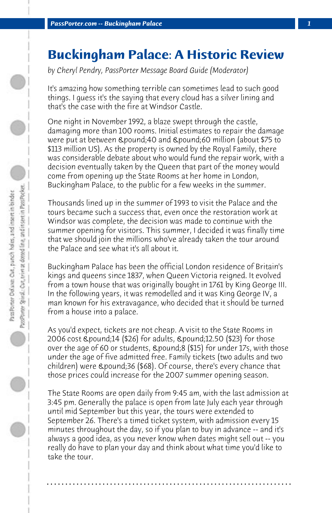## **Buckingham Palace: A Historic Review**

*by Cheryl Pendry, PassPorter Message Board Guide (Moderator)*

It's amazing how something terrible can sometimes lead to such good things. I guess it's the saying that every cloud has a silver lining and that's the case with the fire at Windsor Castle.

One night in November 1992, a blaze swept through the castle, damaging more than 100 rooms. Initial estimates to repair the damage were put at between £40 and £60 million (about \$75 to \$113 million US). As the property is owned by the Royal Family, there was considerable debate about who would fund the repair work, with a decision eventually taken by the Queen that part of the money would come from opening up the State Rooms at her home in London, Buckingham Palace, to the public for a few weeks in the summer.

Thousands lined up in the summer of 1993 to visit the Palace and the tours became such a success that, even once the restoration work at Windsor was complete, the decision was made to continue with the summer opening for visitors. This summer, I decided it was finally time that we should join the millions who've already taken the tour around the Palace and see what it's all about it.

Buckingham Palace has been the official London residence of Britain's kings and queens since 1837, when Queen Victoria reigned. It evolved from a town house that was originally bought in 1761 by King George III. In the following years, it was remodelled and it was King George IV, a man known for his extravagance, who decided that it should be turned from a house into a palace.

As you'd expect, tickets are not cheap. A visit to the State Rooms in 2006 cost £14 (\$26) for adults, £12.50 (\$23) for those over the age of 60 or students, £8 (\$15) for under 17s, with those under the age of five admitted free. Family tickets (two adults and two children) were £36 (\$68). Of course, there's every chance that those prices could increase for the 2007 summer opening season.

The State Rooms are open daily from 9:45 am, with the last admission at 3:45 pm. Generally the palace is open from late July each year through until mid September but this year, the tours were extended to September 26. There's a timed ticket system, with admission every 15 minutes throughout the day, so if you plan to buy in advance -- and it's always a good idea, as you never know when dates might sell out -- you really do have to plan your day and think about what time you'd like to take the tour.

**. . . . . . . . . . . . . . . . . . . . . . . . . . . . . . . . . . . . . . . . . . . . . . . . . . . . . . . . . . . . . . . . . .**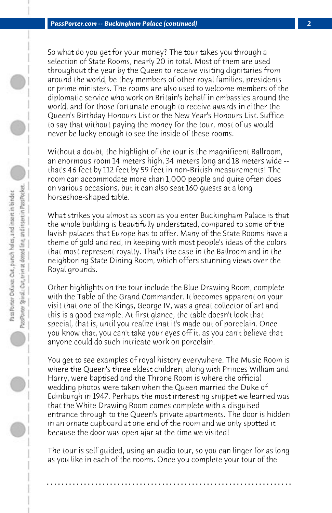So what do you get for your money? The tour takes you through a selection of State Rooms, nearly 20 in total. Most of them are used throughout the year by the Queen to receive visiting dignitaries from around the world, be they members of other royal families, presidents or prime ministers. The rooms are also used to welcome members of the diplomatic service who work on Britain's behalf in embassies around the world, and for those fortunate enough to receive awards in either the Queen's Birthday Honours List or the New Year's Honours List. Suffice to say that without paying the money for the tour, most of us would never be lucky enough to see the inside of these rooms.

Without a doubt, the highlight of the tour is the magnificent Ballroom, an enormous room 14 meters high, 34 meters long and 18 meters wide - that's 46 feet by 112 feet by 59 feet in non-British measurements! The room can accommodate more than 1,000 people and quite often does on various occasions, but it can also seat 160 guests at a long horseshoe-shaped table.

What strikes you almost as soon as you enter Buckingham Palace is that the whole building is beautifully understated, compared to some of the lavish palaces that Europe has to offer. Many of the State Rooms have a theme of gold and red, in keeping with most people's ideas of the colors that most represent royalty. That's the case in the Ballroom and in the neighboring State Dining Room, which offers stunning views over the Royal grounds.

Other highlights on the tour include the Blue Drawing Room, complete with the Table of the Grand Commander. It becomes apparent on your visit that one of the Kings, George IV, was a great collector of art and this is a good example. At first glance, the table doesn't look that special, that is, until you realize that it's made out of porcelain. Once you know that, you can't take your eyes off it, as you can't believe that anyone could do such intricate work on porcelain.

You get to see examples of royal history everywhere. The Music Room is where the Queen's three eldest children, along with Princes William and Harry, were baptised and the Throne Room is where the official wedding photos were taken when the Queen married the Duke of Edinburgh in 1947. Perhaps the most interesting snippet we learned was that the White Drawing Room comes complete with a disguised entrance through to the Queen's private apartments. The door is hidden in an ornate cupboard at one end of the room and we only spotted it because the door was open ajar at the time we visited!

The tour is self guided, using an audio tour, so you can linger for as long as you like in each of the rooms. Once you complete your tour of the

**. . . . . . . . . . . . . . . . . . . . . . . . . . . . . . . . . . . . . . . . . . . . . . . . . . . . . . . . . . . . . . . . . .**